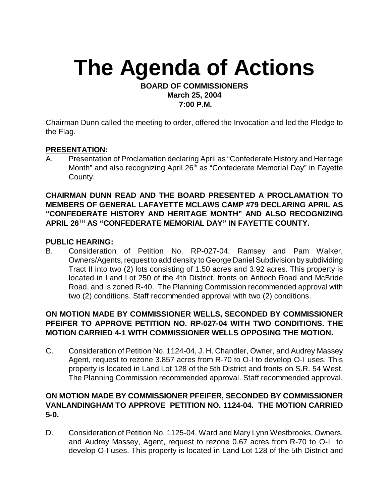# **The Agenda of Actions**

#### **BOARD OF COMMISSIONERS March 25, 2004 7:00 P.M.**

Chairman Dunn called the meeting to order, offered the Invocation and led the Pledge to the Flag.

## **PRESENTATION:**

A. Presentation of Proclamation declaring April as "Confederate History and Heritage Month" and also recognizing April  $26<sup>th</sup>$  as "Confederate Memorial Day" in Fayette County.

## **CHAIRMAN DUNN READ AND THE BOARD PRESENTED A PROCLAMATION TO MEMBERS OF GENERAL LAFAYETTE MCLAWS CAMP #79 DECLARING APRIL AS "CONFEDERATE HISTORY AND HERITAGE MONTH" AND ALSO RECOGNIZING APRIL 26<sup>TH</sup> AS "CONFEDERATE MEMORIAL DAY" IN FAYETTE COUNTY.**

#### **PUBLIC HEARING:**

B. Consideration of Petition No. RP-027-04, Ramsey and Pam Walker, Owners/Agents, request to add density to George Daniel Subdivision by subdividing Tract II into two (2) lots consisting of 1.50 acres and 3.92 acres. This property is located in Land Lot 250 of the 4th District, fronts on Antioch Road and McBride Road, and is zoned R-40. The Planning Commission recommended approval with two (2) conditions. Staff recommended approval with two (2) conditions.

# **ON MOTION MADE BY COMMISSIONER WELLS, SECONDED BY COMMISSIONER PFEIFER TO APPROVE PETITION NO. RP-027-04 WITH TWO CONDITIONS. THE MOTION CARRIED 4-1 WITH COMMISSIONER WELLS OPPOSING THE MOTION.**

C. Consideration of Petition No. 1124-04, J. H. Chandler, Owner, and Audrey Massey Agent, request to rezone 3.857 acres from R-70 to O-I to develop O-I uses. This property is located in Land Lot 128 of the 5th District and fronts on S.R. 54 West. The Planning Commission recommended approval. Staff recommended approval.

# **ON MOTION MADE BY COMMISSIONER PFEIFER, SECONDED BY COMMISSIONER VANLANDINGHAM TO APPROVE PETITION NO. 1124-04. THE MOTION CARRIED 5-0.**

D. Consideration of Petition No. 1125-04, Ward and Mary Lynn Westbrooks, Owners, and Audrey Massey, Agent, request to rezone 0.67 acres from R-70 to O-I to develop O-I uses. This property is located in Land Lot 128 of the 5th District and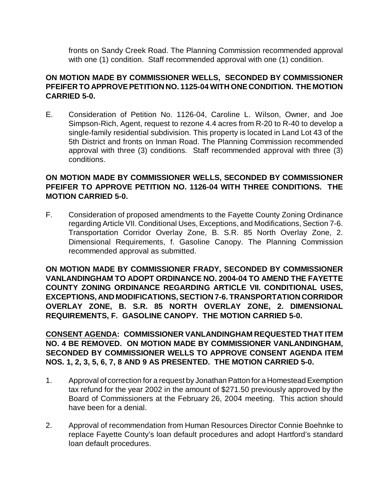fronts on Sandy Creek Road. The Planning Commission recommended approval with one (1) condition. Staff recommended approval with one (1) condition.

# **ON MOTION MADE BY COMMISSIONER WELLS, SECONDED BY COMMISSIONER PFEIFER TO APPROVE PETITION NO. 1125-04 WITH ONE CONDITION. THE MOTION CARRIED 5-0.**

E. Consideration of Petition No. 1126-04, Caroline L. Wilson, Owner, and Joe Simpson-Rich, Agent, request to rezone 4.4 acres from R-20 to R-40 to develop a single-family residential subdivision. This property is located in Land Lot 43 of the 5th District and fronts on Inman Road. The Planning Commission recommended approval with three (3) conditions. Staff recommended approval with three (3) conditions.

# **ON MOTION MADE BY COMMISSIONER WELLS, SECONDED BY COMMISSIONER PFEIFER TO APPROVE PETITION NO. 1126-04 WITH THREE CONDITIONS. THE MOTION CARRIED 5-0.**

F. Consideration of proposed amendments to the Fayette County Zoning Ordinance regarding Article VII. Conditional Uses, Exceptions, and Modifications, Section 7-6. Transportation Corridor Overlay Zone, B. S.R. 85 North Overlay Zone, 2. Dimensional Requirements, f. Gasoline Canopy. The Planning Commission recommended approval as submitted.

**ON MOTION MADE BY COMMISSIONER FRADY, SECONDED BY COMMISSIONER VANLANDINGHAM TO ADOPT ORDINANCE NO. 2004-04 TO AMEND THE FAYETTE COUNTY ZONING ORDINANCE REGARDING ARTICLE VII. CONDITIONAL USES, EXCEPTIONS, AND MODIFICATIONS, SECTION 7-6. TRANSPORTATION CORRIDOR OVERLAY ZONE, B. S.R. 85 NORTH OVERLAY ZONE, 2. DIMENSIONAL REQUIREMENTS, F. GASOLINE CANOPY. THE MOTION CARRIED 5-0.**

**CONSENT AGENDA: COMMISSIONER VANLANDINGHAM REQUESTED THAT ITEM NO. 4 BE REMOVED. ON MOTION MADE BY COMMISSIONER VANLANDINGHAM, SECONDED BY COMMISSIONER WELLS TO APPROVE CONSENT AGENDA ITEM NOS. 1, 2, 3, 5, 6, 7, 8 AND 9 AS PRESENTED. THE MOTION CARRIED 5-0.**

- 1. Approval of correction for a request by Jonathan Patton for a Homestead Exemption tax refund for the year 2002 in the amount of \$271.50 previously approved by the Board of Commissioners at the February 26, 2004 meeting. This action should have been for a denial.
- 2. Approval of recommendation from Human Resources Director Connie Boehnke to replace Fayette County's loan default procedures and adopt Hartford's standard loan default procedures.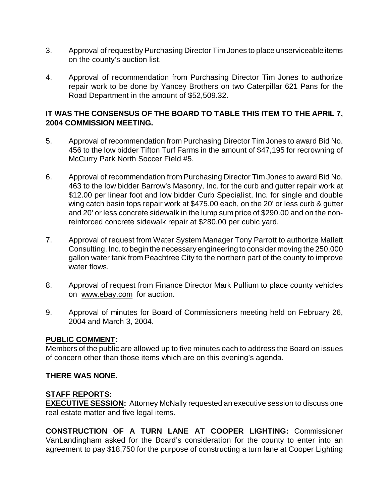- 3. Approval of request by Purchasing Director Tim Jones to place unserviceable items on the county's auction list.
- 4. Approval of recommendation from Purchasing Director Tim Jones to authorize repair work to be done by Yancey Brothers on two Caterpillar 621 Pans for the Road Department in the amount of \$52,509.32.

## **IT WAS THE CONSENSUS OF THE BOARD TO TABLE THIS ITEM TO THE APRIL 7, 2004 COMMISSION MEETING.**

- 5. Approval of recommendation from Purchasing Director Tim Jones to award Bid No. 456 to the low bidder Tifton Turf Farms in the amount of \$47,195 for recrowning of McCurry Park North Soccer Field #5.
- 6. Approval of recommendation from Purchasing Director Tim Jones to award Bid No. 463 to the low bidder Barrow's Masonry, Inc. for the curb and gutter repair work at \$12.00 per linear foot and low bidder Curb Specialist, Inc. for single and double wing catch basin tops repair work at \$475.00 each, on the 20' or less curb & gutter and 20' or less concrete sidewalk in the lump sum price of \$290.00 and on the nonreinforced concrete sidewalk repair at \$280.00 per cubic yard.
- 7. Approval of request from Water System Manager Tony Parrott to authorize Mallett Consulting, Inc. to begin the necessary engineering to consider moving the 250,000 gallon water tank from Peachtree City to the northern part of the county to improve water flows.
- 8. Approval of request from Finance Director Mark Pullium to place county vehicles on [www.ebay.com](http://www.ebay.com) for auction.
- 9. Approval of minutes for Board of Commissioners meeting held on February 26, 2004 and March 3, 2004.

#### **PUBLIC COMMENT:**

Members of the public are allowed up to five minutes each to address the Board on issues of concern other than those items which are on this evening's agenda.

#### **THERE WAS NONE.**

# **STAFF REPORTS:**

**EXECUTIVE SESSION:** Attorney McNally requested an executive session to discuss one real estate matter and five legal items.

**CONSTRUCTION OF A TURN LANE AT COOPER LIGHTING:** Commissioner VanLandingham asked for the Board's consideration for the county to enter into an agreement to pay \$18,750 for the purpose of constructing a turn lane at Cooper Lighting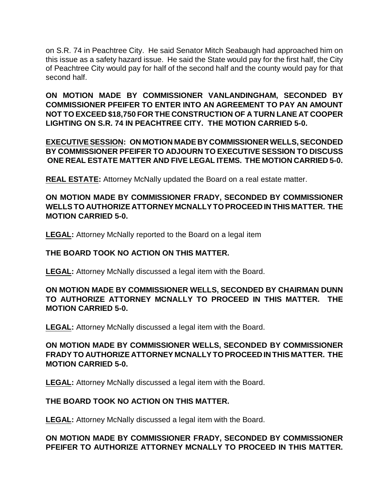on S.R. 74 in Peachtree City. He said Senator Mitch Seabaugh had approached him on this issue as a safety hazard issue. He said the State would pay for the first half, the City of Peachtree City would pay for half of the second half and the county would pay for that second half.

**ON MOTION MADE BY COMMISSIONER VANLANDINGHAM, SECONDED BY COMMISSIONER PFEIFER TO ENTER INTO AN AGREEMENT TO PAY AN AMOUNT NOT TO EXCEED \$18,750 FOR THE CONSTRUCTION OF A TURN LANE AT COOPER LIGHTING ON S.R. 74 IN PEACHTREE CITY. THE MOTION CARRIED 5-0.** 

**EXECUTIVE SESSION: ON MOTION MADE BY COMMISSIONER WELLS, SECONDED BY COMMISSIONER PFEIFER TO ADJOURN TO EXECUTIVE SESSION TO DISCUSS ONE REAL ESTATE MATTER AND FIVE LEGAL ITEMS. THE MOTION CARRIED 5-0.**

**REAL ESTATE:** Attorney McNally updated the Board on a real estate matter.

**ON MOTION MADE BY COMMISSIONER FRADY, SECONDED BY COMMISSIONER WELLS TO AUTHORIZE ATTORNEY MCNALLY TO PROCEED IN THIS MATTER. THE MOTION CARRIED 5-0.**

**LEGAL:** Attorney McNally reported to the Board on a legal item

#### **THE BOARD TOOK NO ACTION ON THIS MATTER.**

**LEGAL:** Attorney McNally discussed a legal item with the Board.

# **ON MOTION MADE BY COMMISSIONER WELLS, SECONDED BY CHAIRMAN DUNN TO AUTHORIZE ATTORNEY MCNALLY TO PROCEED IN THIS MATTER. THE MOTION CARRIED 5-0.**

**LEGAL:** Attorney McNally discussed a legal item with the Board.

# **ON MOTION MADE BY COMMISSIONER WELLS, SECONDED BY COMMISSIONER FRADY TO AUTHORIZE ATTORNEY MCNALLY TO PROCEED IN THIS MATTER. THE MOTION CARRIED 5-0.**

**LEGAL:** Attorney McNally discussed a legal item with the Board.

# **THE BOARD TOOK NO ACTION ON THIS MATTER.**

**LEGAL:** Attorney McNally discussed a legal item with the Board.

# **ON MOTION MADE BY COMMISSIONER FRADY, SECONDED BY COMMISSIONER PFEIFER TO AUTHORIZE ATTORNEY MCNALLY TO PROCEED IN THIS MATTER.**